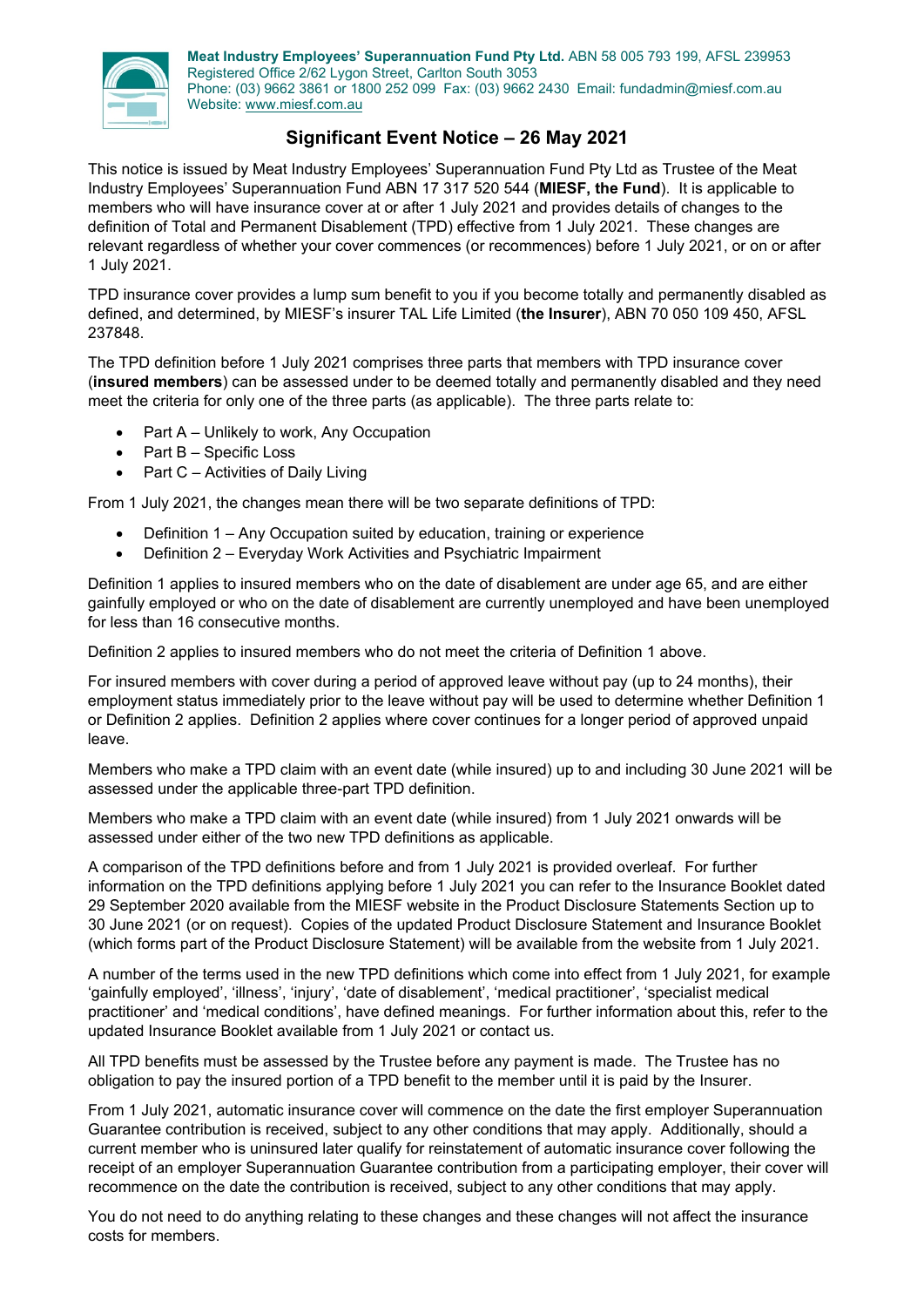

**Meat Industry Employees' Superannuation Fund Pty Ltd.** ABN 58 005 793 199, AFSL 239953 Registered Office 2/62 Lygon Street, Carlton South 3053 Phone: (03) 9662 3861 or 1800 252 099 Fax: (03) 9662 2430 Email: fundadmin@miesf.com.au Website: [www.miesf.com.au](http://www.miesf.com.au/)

## **Significant Event Notice – 26 May 2021**

This notice is issued by Meat Industry Employees' Superannuation Fund Pty Ltd as Trustee of the Meat Industry Employees' Superannuation Fund ABN 17 317 520 544 (**MIESF, the Fund**). It is applicable to members who will have insurance cover at or after 1 July 2021 and provides details of changes to the definition of Total and Permanent Disablement (TPD) effective from 1 July 2021. These changes are relevant regardless of whether your cover commences (or recommences) before 1 July 2021, or on or after 1 July 2021.

TPD insurance cover provides a lump sum benefit to you if you become totally and permanently disabled as defined, and determined, by MIESF's insurer TAL Life Limited (**the Insurer**), ABN 70 050 109 450, AFSL 237848.

The TPD definition before 1 July 2021 comprises three parts that members with TPD insurance cover (**insured members**) can be assessed under to be deemed totally and permanently disabled and they need meet the criteria for only one of the three parts (as applicable). The three parts relate to:

- Part A Unlikely to work, Any Occupation
- Part B Specific Loss
- Part C Activities of Daily Living

From 1 July 2021, the changes mean there will be two separate definitions of TPD:

- Definition 1 Any Occupation suited by education, training or experience
- Definition 2 Everyday Work Activities and Psychiatric Impairment

Definition 1 applies to insured members who on the date of disablement are under age 65, and are either gainfully employed or who on the date of disablement are currently unemployed and have been unemployed for less than 16 consecutive months.

Definition 2 applies to insured members who do not meet the criteria of Definition 1 above.

For insured members with cover during a period of approved leave without pay (up to 24 months), their employment status immediately prior to the leave without pay will be used to determine whether Definition 1 or Definition 2 applies. Definition 2 applies where cover continues for a longer period of approved unpaid leave.

Members who make a TPD claim with an event date (while insured) up to and including 30 June 2021 will be assessed under the applicable three-part TPD definition.

Members who make a TPD claim with an event date (while insured) from 1 July 2021 onwards will be assessed under either of the two new TPD definitions as applicable.

A comparison of the TPD definitions before and from 1 July 2021 is provided overleaf. For further information on the TPD definitions applying before 1 July 2021 you can refer to the Insurance Booklet dated 29 September 2020 available from the MIESF website in the Product Disclosure Statements Section up to 30 June 2021 (or on request). Copies of the updated Product Disclosure Statement and Insurance Booklet (which forms part of the Product Disclosure Statement) will be available from the website from 1 July 2021.

A number of the terms used in the new TPD definitions which come into effect from 1 July 2021, for example 'gainfully employed', 'illness', 'injury', 'date of disablement', 'medical practitioner', 'specialist medical practitioner' and 'medical conditions', have defined meanings. For further information about this, refer to the updated Insurance Booklet available from 1 July 2021 or contact us.

All TPD benefits must be assessed by the Trustee before any payment is made. The Trustee has no obligation to pay the insured portion of a TPD benefit to the member until it is paid by the Insurer.

From 1 July 2021, automatic insurance cover will commence on the date the first employer Superannuation Guarantee contribution is received, subject to any other conditions that may apply. Additionally, should a current member who is uninsured later qualify for reinstatement of automatic insurance cover following the receipt of an employer Superannuation Guarantee contribution from a participating employer, their cover will recommence on the date the contribution is received, subject to any other conditions that may apply.

You do not need to do anything relating to these changes and these changes will not affect the insurance costs for members.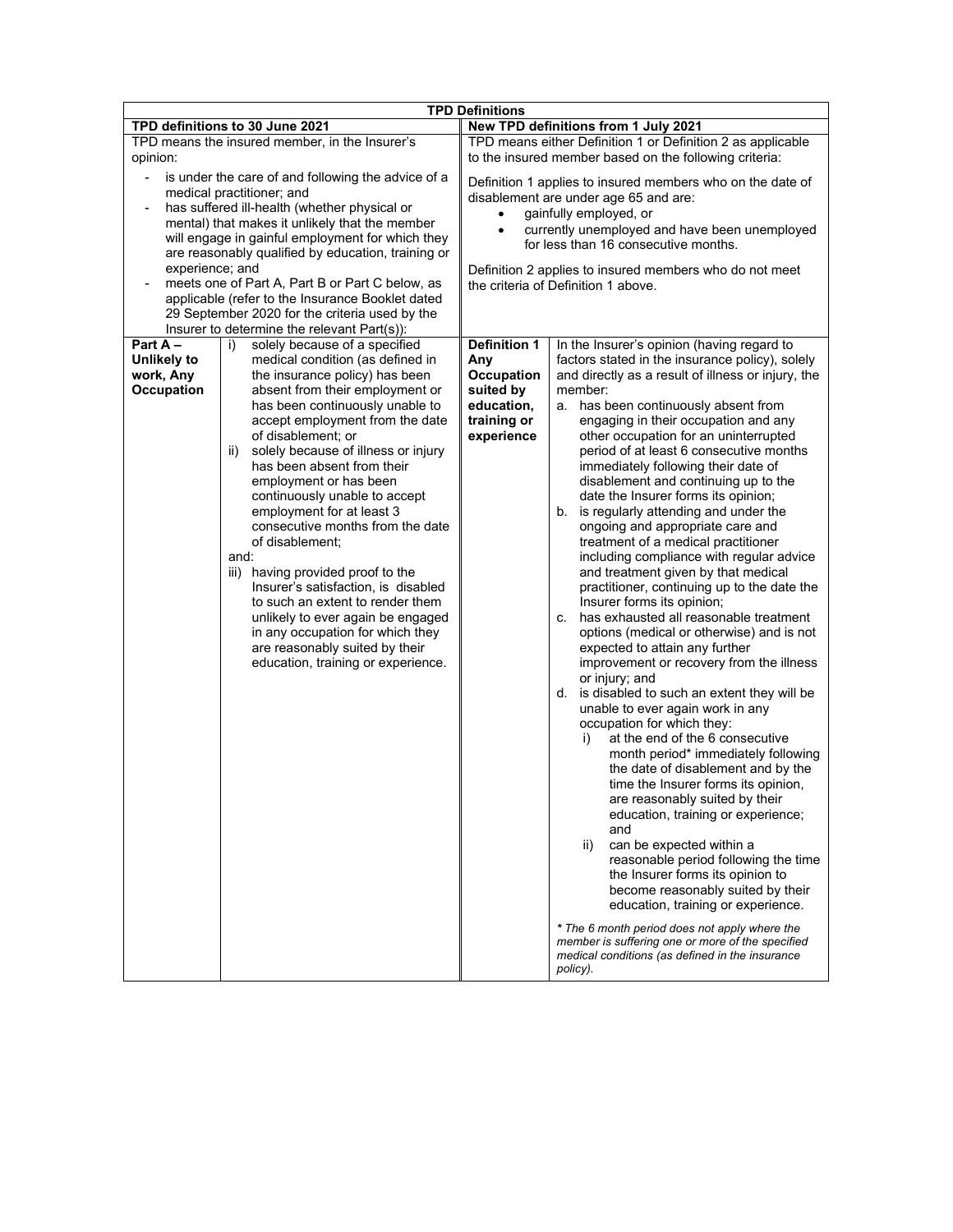| <b>TPD Definitions</b>                                                                                                                                                                                                                                                                                                                                                                                                                                                                                                                             |                                                                                                                                                                                                                                                                                                                                                                                                                                                                                                                                                                                                                                                                                                                                              |                                                                                                                                                                                                                                                                                                                                            |                                                                                                                                                                                                                                                                                                                                                                                                                                                                                                                                                                                                                                                                                                                                                                                                                                                                                                                                                                                                                                                                                                                                                                                                                                                                                                                                                                                                                                                                                                                                                                                                                                                                          |  |
|----------------------------------------------------------------------------------------------------------------------------------------------------------------------------------------------------------------------------------------------------------------------------------------------------------------------------------------------------------------------------------------------------------------------------------------------------------------------------------------------------------------------------------------------------|----------------------------------------------------------------------------------------------------------------------------------------------------------------------------------------------------------------------------------------------------------------------------------------------------------------------------------------------------------------------------------------------------------------------------------------------------------------------------------------------------------------------------------------------------------------------------------------------------------------------------------------------------------------------------------------------------------------------------------------------|--------------------------------------------------------------------------------------------------------------------------------------------------------------------------------------------------------------------------------------------------------------------------------------------------------------------------------------------|--------------------------------------------------------------------------------------------------------------------------------------------------------------------------------------------------------------------------------------------------------------------------------------------------------------------------------------------------------------------------------------------------------------------------------------------------------------------------------------------------------------------------------------------------------------------------------------------------------------------------------------------------------------------------------------------------------------------------------------------------------------------------------------------------------------------------------------------------------------------------------------------------------------------------------------------------------------------------------------------------------------------------------------------------------------------------------------------------------------------------------------------------------------------------------------------------------------------------------------------------------------------------------------------------------------------------------------------------------------------------------------------------------------------------------------------------------------------------------------------------------------------------------------------------------------------------------------------------------------------------------------------------------------------------|--|
| TPD definitions to 30 June 2021                                                                                                                                                                                                                                                                                                                                                                                                                                                                                                                    |                                                                                                                                                                                                                                                                                                                                                                                                                                                                                                                                                                                                                                                                                                                                              |                                                                                                                                                                                                                                                                                                                                            | New TPD definitions from 1 July 2021                                                                                                                                                                                                                                                                                                                                                                                                                                                                                                                                                                                                                                                                                                                                                                                                                                                                                                                                                                                                                                                                                                                                                                                                                                                                                                                                                                                                                                                                                                                                                                                                                                     |  |
| TPD means the insured member, in the Insurer's<br>opinion:                                                                                                                                                                                                                                                                                                                                                                                                                                                                                         |                                                                                                                                                                                                                                                                                                                                                                                                                                                                                                                                                                                                                                                                                                                                              | TPD means either Definition 1 or Definition 2 as applicable<br>to the insured member based on the following criteria:                                                                                                                                                                                                                      |                                                                                                                                                                                                                                                                                                                                                                                                                                                                                                                                                                                                                                                                                                                                                                                                                                                                                                                                                                                                                                                                                                                                                                                                                                                                                                                                                                                                                                                                                                                                                                                                                                                                          |  |
| is under the care of and following the advice of a<br>medical practitioner; and<br>has suffered ill-health (whether physical or<br>$\overline{\phantom{a}}$<br>mental) that makes it unlikely that the member<br>will engage in gainful employment for which they<br>are reasonably qualified by education, training or<br>experience; and<br>meets one of Part A, Part B or Part C below, as<br>applicable (refer to the Insurance Booklet dated<br>29 September 2020 for the criteria used by the<br>Insurer to determine the relevant Part(s)): |                                                                                                                                                                                                                                                                                                                                                                                                                                                                                                                                                                                                                                                                                                                                              | Definition 1 applies to insured members who on the date of<br>disablement are under age 65 and are:<br>gainfully employed, or<br>٠<br>currently unemployed and have been unemployed<br>$\bullet$<br>for less than 16 consecutive months.<br>Definition 2 applies to insured members who do not meet<br>the criteria of Definition 1 above. |                                                                                                                                                                                                                                                                                                                                                                                                                                                                                                                                                                                                                                                                                                                                                                                                                                                                                                                                                                                                                                                                                                                                                                                                                                                                                                                                                                                                                                                                                                                                                                                                                                                                          |  |
| Part A-<br><b>Unlikely to</b><br>work, Any<br>Occupation                                                                                                                                                                                                                                                                                                                                                                                                                                                                                           | solely because of a specified<br>i)<br>medical condition (as defined in<br>the insurance policy) has been<br>absent from their employment or<br>has been continuously unable to<br>accept employment from the date<br>of disablement; or<br>solely because of illness or injury<br>ii)<br>has been absent from their<br>employment or has been<br>continuously unable to accept<br>employment for at least 3<br>consecutive months from the date<br>of disablement;<br>and:<br>iii) having provided proof to the<br>Insurer's satisfaction, is disabled<br>to such an extent to render them<br>unlikely to ever again be engaged<br>in any occupation for which they<br>are reasonably suited by their<br>education, training or experience. | <b>Definition 1</b><br>Any<br>Occupation<br>suited by<br>education,<br>training or<br>experience                                                                                                                                                                                                                                           | In the Insurer's opinion (having regard to<br>factors stated in the insurance policy), solely<br>and directly as a result of illness or injury, the<br>member:<br>a. has been continuously absent from<br>engaging in their occupation and any<br>other occupation for an uninterrupted<br>period of at least 6 consecutive months<br>immediately following their date of<br>disablement and continuing up to the<br>date the Insurer forms its opinion;<br>b. is regularly attending and under the<br>ongoing and appropriate care and<br>treatment of a medical practitioner<br>including compliance with regular advice<br>and treatment given by that medical<br>practitioner, continuing up to the date the<br>Insurer forms its opinion;<br>has exhausted all reasonable treatment<br>C.<br>options (medical or otherwise) and is not<br>expected to attain any further<br>improvement or recovery from the illness<br>or injury; and<br>d. is disabled to such an extent they will be<br>unable to ever again work in any<br>occupation for which they:<br>at the end of the 6 consecutive<br>i)<br>month period* immediately following<br>the date of disablement and by the<br>time the Insurer forms its opinion,<br>are reasonably suited by their<br>education, training or experience;<br>and<br>ii)<br>can be expected within a<br>reasonable period following the time<br>the Insurer forms its opinion to<br>become reasonably suited by their<br>education, training or experience.<br>* The 6 month period does not apply where the<br>member is suffering one or more of the specified<br>medical conditions (as defined in the insurance<br>policy). |  |